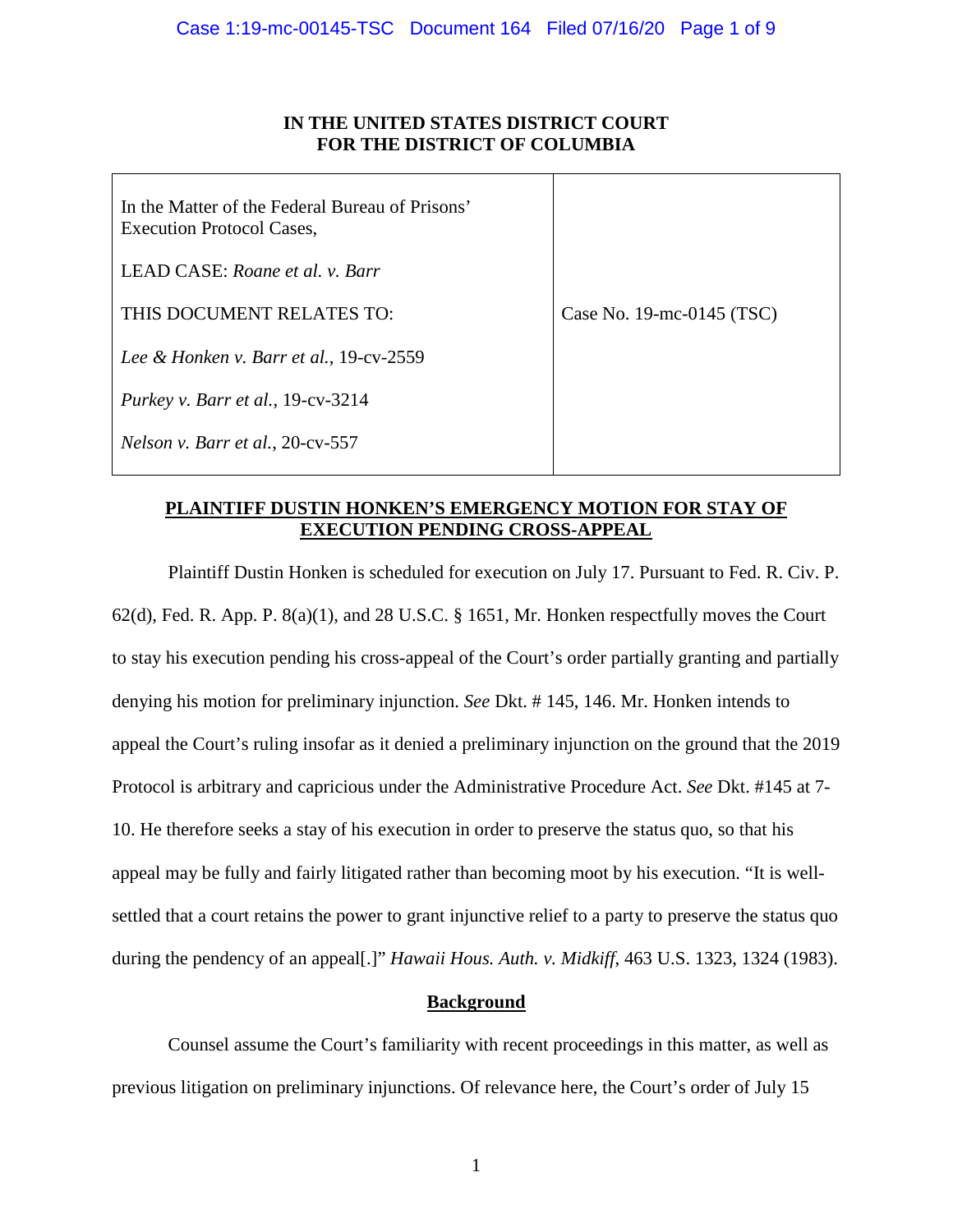## **IN THE UNITED STATES DISTRICT COURT FOR THE DISTRICT OF COLUMBIA**

| In the Matter of the Federal Bureau of Prisons'<br><b>Execution Protocol Cases,</b> |                           |
|-------------------------------------------------------------------------------------|---------------------------|
| LEAD CASE: Roane et al. v. Barr                                                     |                           |
| THIS DOCUMENT RELATES TO:                                                           | Case No. 19-mc-0145 (TSC) |
| Lee & Honken v. Barr et al., 19-cv-2559                                             |                           |
| Purkey v. Barr et al., $19$ -cv-3214                                                |                           |
| Nelson v. Barr et al., 20-cv-557                                                    |                           |

## **PLAINTIFF DUSTIN HONKEN'S EMERGENCY MOTION FOR STAY OF EXECUTION PENDING CROSS-APPEAL**

Plaintiff Dustin Honken is scheduled for execution on July 17. Pursuant to Fed. R. Civ. P. 62(d), Fed. R. App. P. 8(a)(1), and 28 U.S.C. § 1651, Mr. Honken respectfully moves the Court to stay his execution pending his cross-appeal of the Court's order partially granting and partially denying his motion for preliminary injunction. *See* Dkt. # 145, 146. Mr. Honken intends to appeal the Court's ruling insofar as it denied a preliminary injunction on the ground that the 2019 Protocol is arbitrary and capricious under the Administrative Procedure Act. *See* Dkt. #145 at 7- 10. He therefore seeks a stay of his execution in order to preserve the status quo, so that his appeal may be fully and fairly litigated rather than becoming moot by his execution. "It is wellsettled that a court retains the power to grant injunctive relief to a party to preserve the status quo during the pendency of an appeal[.]" *Hawaii Hous. Auth. v. Midkiff*, 463 U.S. 1323, 1324 (1983).

# **Background**

Counsel assume the Court's familiarity with recent proceedings in this matter, as well as previous litigation on preliminary injunctions. Of relevance here, the Court's order of July 15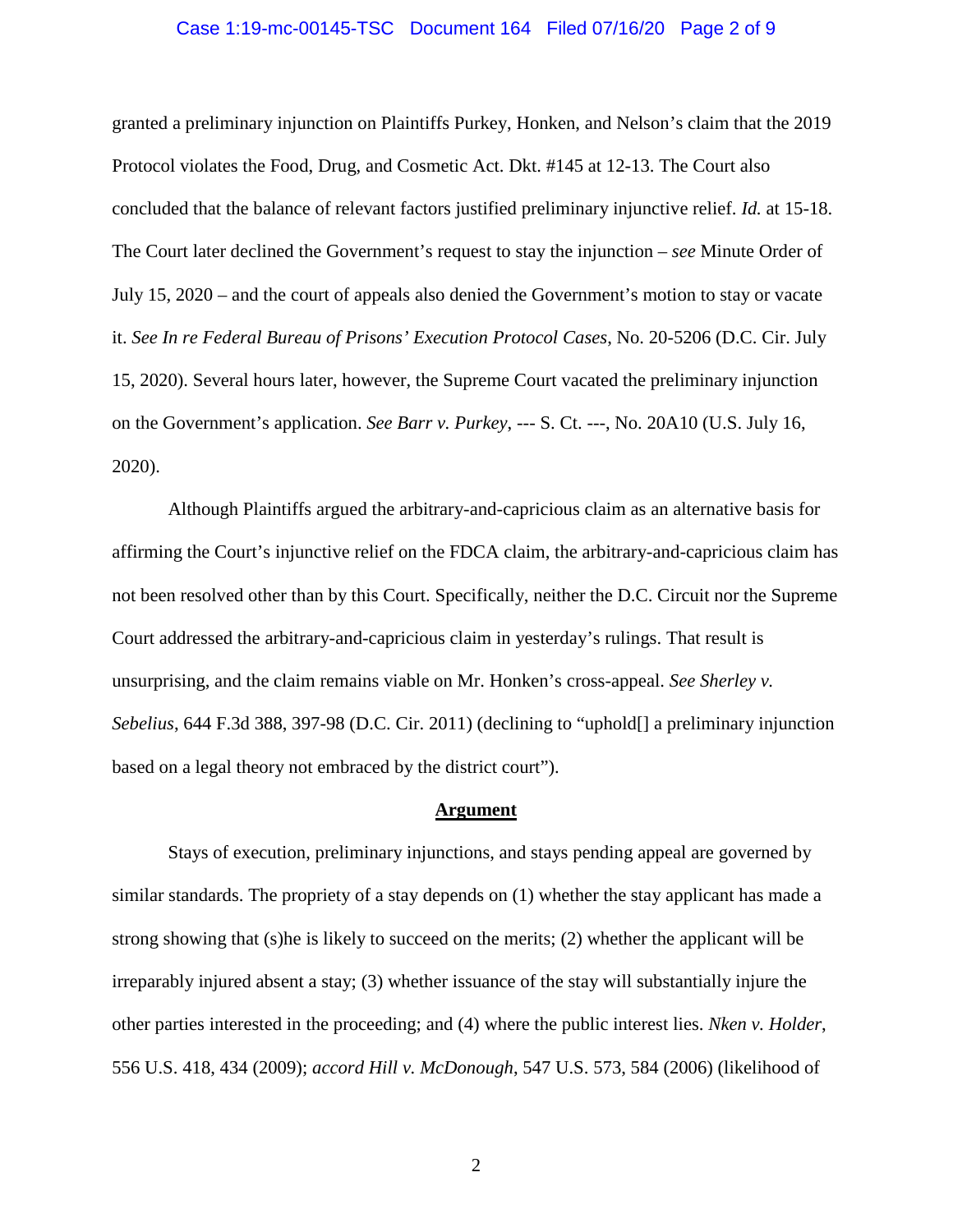#### Case 1:19-mc-00145-TSC Document 164 Filed 07/16/20 Page 2 of 9

granted a preliminary injunction on Plaintiffs Purkey, Honken, and Nelson's claim that the 2019 Protocol violates the Food, Drug, and Cosmetic Act. Dkt. #145 at 12-13. The Court also concluded that the balance of relevant factors justified preliminary injunctive relief. *Id.* at 15-18. The Court later declined the Government's request to stay the injunction – *see* Minute Order of July 15, 2020 – and the court of appeals also denied the Government's motion to stay or vacate it. *See In re Federal Bureau of Prisons' Execution Protocol Cases*, No. 20-5206 (D.C. Cir. July 15, 2020). Several hours later, however, the Supreme Court vacated the preliminary injunction on the Government's application. *See Barr v. Purkey*, --- S. Ct. ---, No. 20A10 (U.S. July 16, 2020).

Although Plaintiffs argued the arbitrary-and-capricious claim as an alternative basis for affirming the Court's injunctive relief on the FDCA claim, the arbitrary-and-capricious claim has not been resolved other than by this Court. Specifically, neither the D.C. Circuit nor the Supreme Court addressed the arbitrary-and-capricious claim in yesterday's rulings. That result is unsurprising, and the claim remains viable on Mr. Honken's cross-appeal. *See Sherley v. Sebelius*, 644 F.3d 388, 397-98 (D.C. Cir. 2011) (declining to "uphold[] a preliminary injunction based on a legal theory not embraced by the district court").

#### **Argument**

Stays of execution, preliminary injunctions, and stays pending appeal are governed by similar standards. The propriety of a stay depends on (1) whether the stay applicant has made a strong showing that (s)he is likely to succeed on the merits; (2) whether the applicant will be irreparably injured absent a stay; (3) whether issuance of the stay will substantially injure the other parties interested in the proceeding; and (4) where the public interest lies. *Nken v. Holder*, 556 U.S. 418, 434 (2009); *accord Hill v. McDonough*, 547 U.S. 573, 584 (2006) (likelihood of

2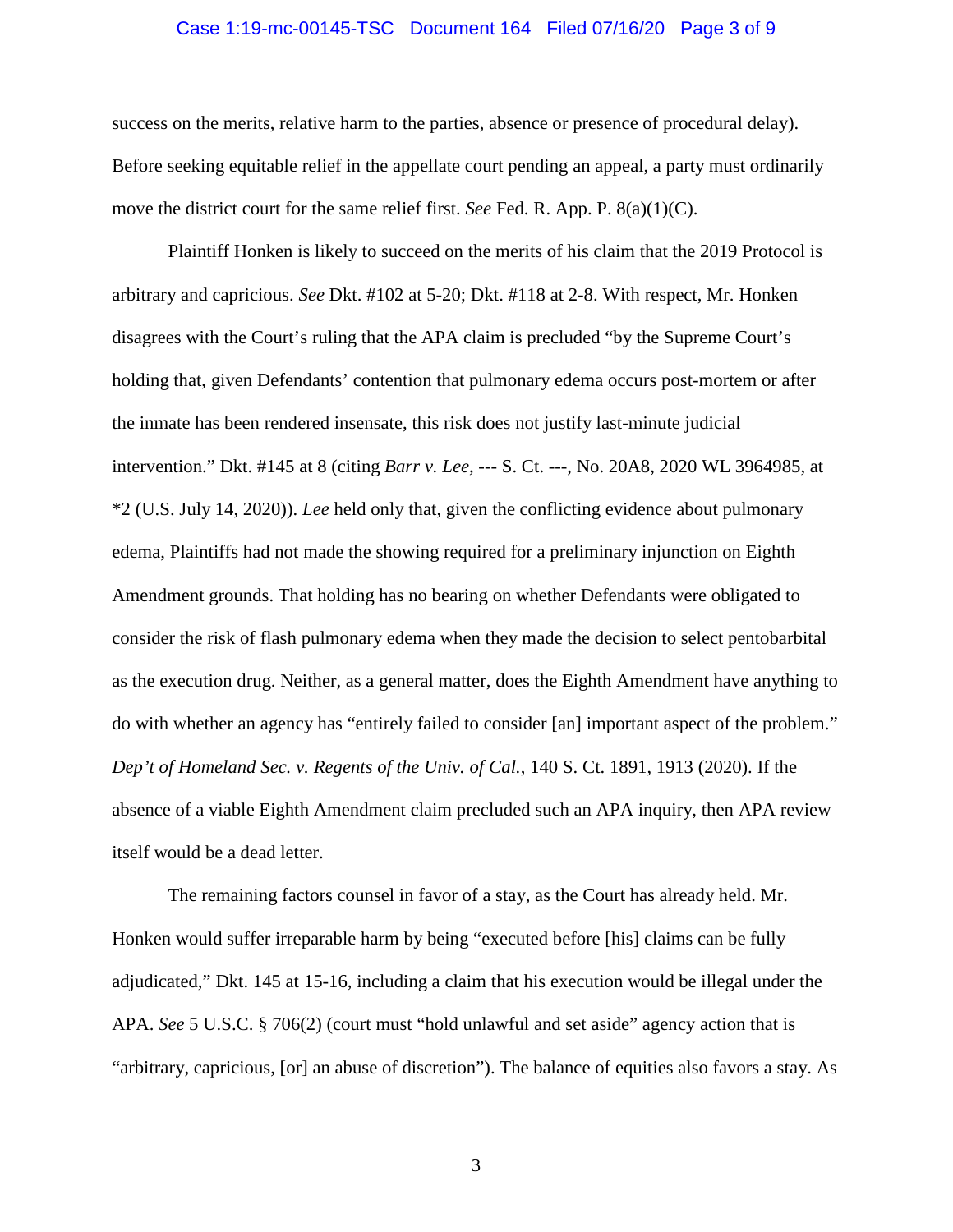#### Case 1:19-mc-00145-TSC Document 164 Filed 07/16/20 Page 3 of 9

success on the merits, relative harm to the parties, absence or presence of procedural delay). Before seeking equitable relief in the appellate court pending an appeal, a party must ordinarily move the district court for the same relief first. *See* Fed. R. App. P. 8(a)(1)(C).

Plaintiff Honken is likely to succeed on the merits of his claim that the 2019 Protocol is arbitrary and capricious. *See* Dkt. #102 at 5-20; Dkt. #118 at 2-8. With respect, Mr. Honken disagrees with the Court's ruling that the APA claim is precluded "by the Supreme Court's holding that, given Defendants' contention that pulmonary edema occurs post-mortem or after the inmate has been rendered insensate, this risk does not justify last-minute judicial intervention." Dkt. #145 at 8 (citing *Barr v. Lee*, --- S. Ct. ---, No. 20A8, 2020 WL 3964985, at \*2 (U.S. July 14, 2020)). *Lee* held only that, given the conflicting evidence about pulmonary edema, Plaintiffs had not made the showing required for a preliminary injunction on Eighth Amendment grounds. That holding has no bearing on whether Defendants were obligated to consider the risk of flash pulmonary edema when they made the decision to select pentobarbital as the execution drug. Neither, as a general matter, does the Eighth Amendment have anything to do with whether an agency has "entirely failed to consider [an] important aspect of the problem." *Dep't of Homeland Sec. v. Regents of the Univ. of Cal.*, 140 S. Ct. 1891, 1913 (2020). If the absence of a viable Eighth Amendment claim precluded such an APA inquiry, then APA review itself would be a dead letter.

The remaining factors counsel in favor of a stay, as the Court has already held. Mr. Honken would suffer irreparable harm by being "executed before [his] claims can be fully adjudicated," Dkt. 145 at 15-16, including a claim that his execution would be illegal under the APA. *See* 5 U.S.C. § 706(2) (court must "hold unlawful and set aside" agency action that is "arbitrary, capricious, [or] an abuse of discretion"). The balance of equities also favors a stay. As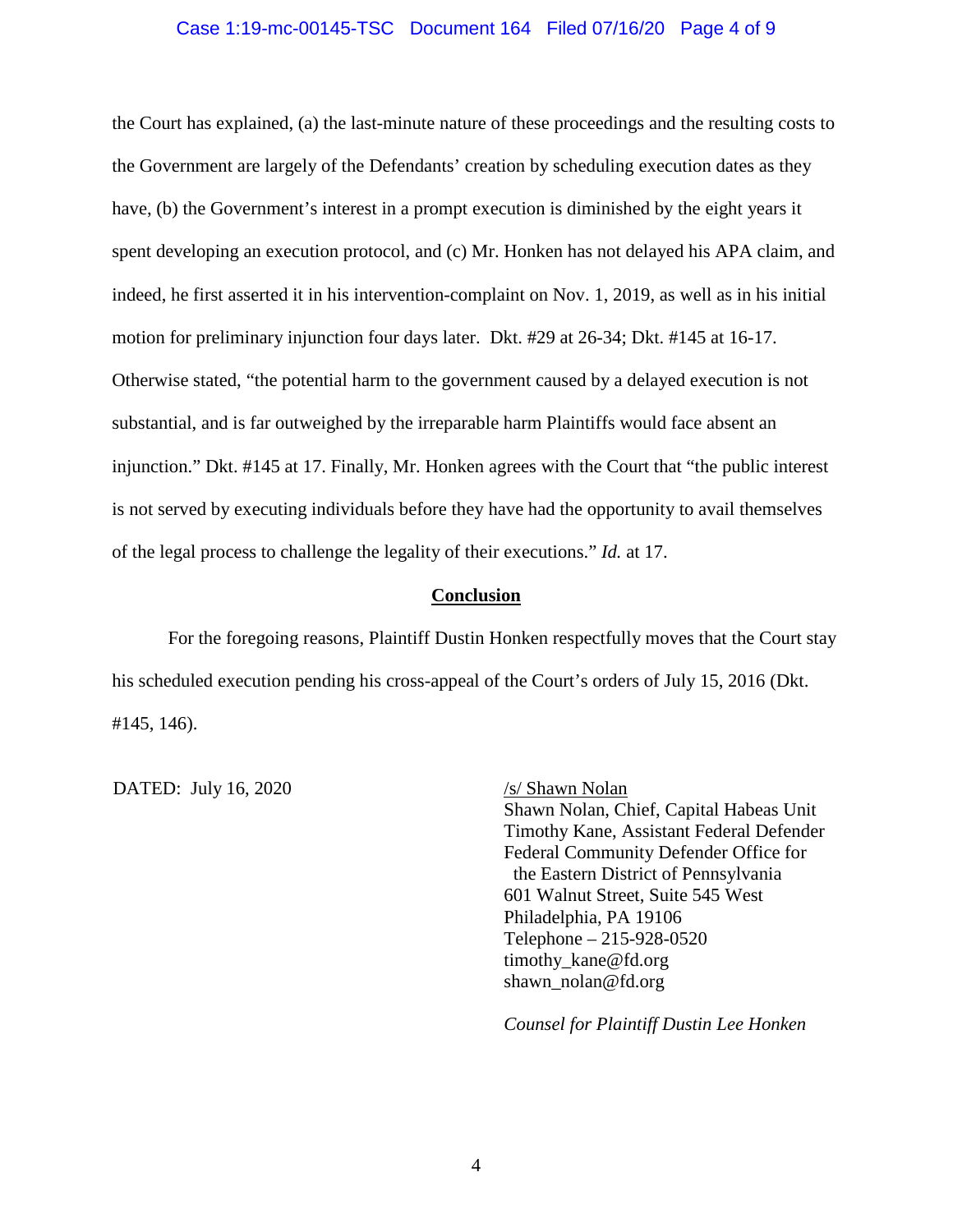### Case 1:19-mc-00145-TSC Document 164 Filed 07/16/20 Page 4 of 9

the Court has explained, (a) the last-minute nature of these proceedings and the resulting costs to the Government are largely of the Defendants' creation by scheduling execution dates as they have, (b) the Government's interest in a prompt execution is diminished by the eight years it spent developing an execution protocol, and (c) Mr. Honken has not delayed his APA claim, and indeed, he first asserted it in his intervention-complaint on Nov. 1, 2019, as well as in his initial motion for preliminary injunction four days later. Dkt. #29 at 26-34; Dkt. #145 at 16-17. Otherwise stated, "the potential harm to the government caused by a delayed execution is not substantial, and is far outweighed by the irreparable harm Plaintiffs would face absent an injunction." Dkt. #145 at 17. Finally, Mr. Honken agrees with the Court that "the public interest is not served by executing individuals before they have had the opportunity to avail themselves of the legal process to challenge the legality of their executions." *Id.* at 17.

#### **Conclusion**

For the foregoing reasons, Plaintiff Dustin Honken respectfully moves that the Court stay his scheduled execution pending his cross-appeal of the Court's orders of July 15, 2016 (Dkt. #145, 146).

DATED: July 16, 2020 /s/ Shawn Nolan

Shawn Nolan, Chief, Capital Habeas Unit Timothy Kane, Assistant Federal Defender Federal Community Defender Office for the Eastern District of Pennsylvania 601 Walnut Street, Suite 545 West Philadelphia, PA 19106 Telephone – 215-928-0520 timothy kane@fd.org shawn\_nolan@fd.org

*Counsel for Plaintiff Dustin Lee Honken*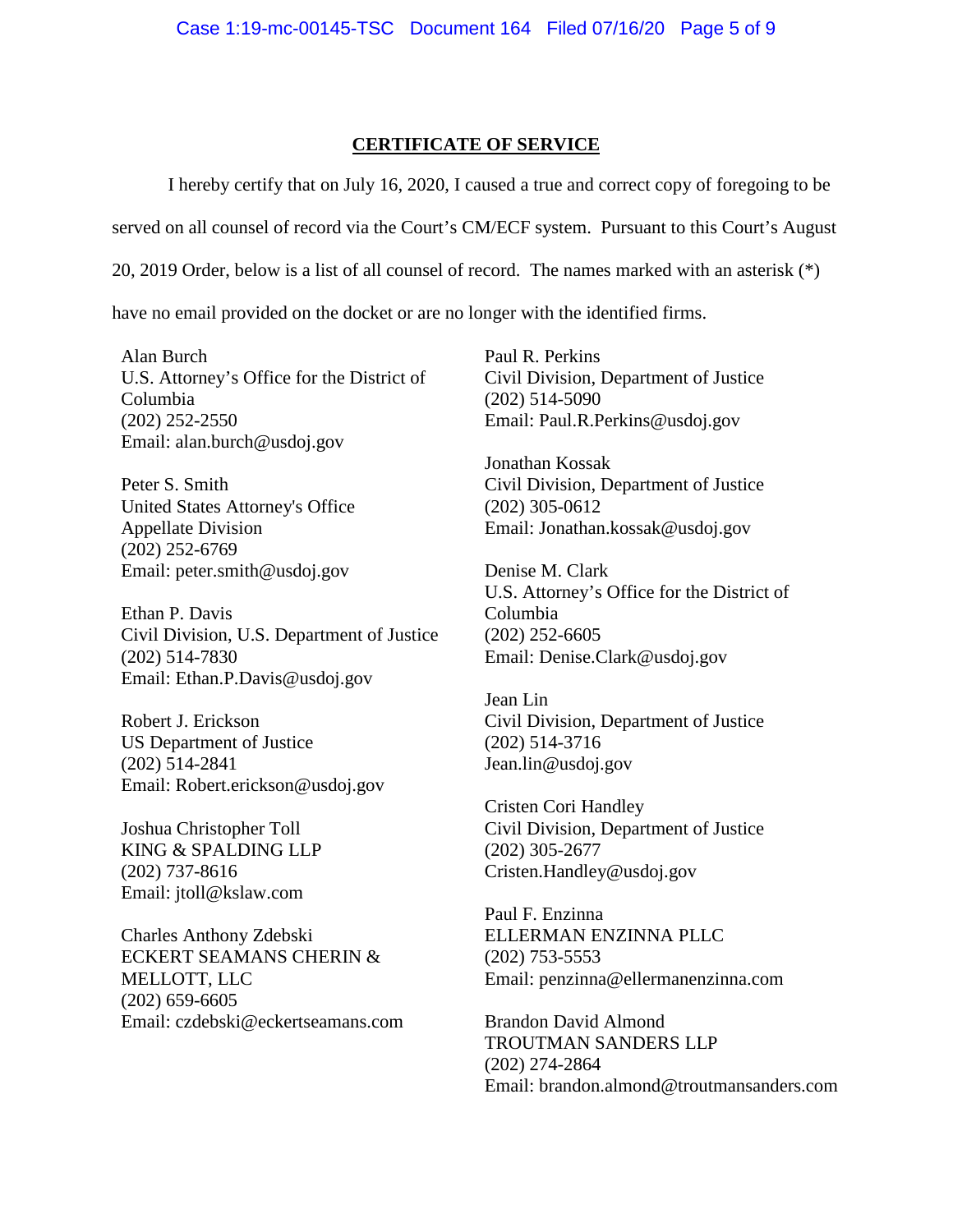## **CERTIFICATE OF SERVICE**

I hereby certify that on July 16, 2020, I caused a true and correct copy of foregoing to be

served on all counsel of record via the Court's CM/ECF system. Pursuant to this Court's August

20, 2019 Order, below is a list of all counsel of record. The names marked with an asterisk (\*)

have no email provided on the docket or are no longer with the identified firms.

Alan Burch U.S. Attorney's Office for the District of Columbia (202) 252-2550 Email: alan.burch@usdoj.gov

Peter S. Smith United States Attorney's Office Appellate Division (202) 252-6769 Email: peter.smith@usdoj.gov

Ethan P. Davis Civil Division, U.S. Department of Justice (202) 514-7830 Email: Ethan.P.Davis@usdoj.gov

Robert J. Erickson US Department of Justice (202) 514-2841 Email: Robert.erickson@usdoj.gov

Joshua Christopher Toll KING & SPALDING LLP (202) 737-8616 Email: [jtoll@kslaw.com](mailto:jtoll@kslaw.com)

Charles Anthony Zdebski ECKERT SEAMANS CHERIN & MELLOTT, LLC (202) 659-6605 Email: [czdebski@eckertseamans.com](mailto:czdebski@eckertseamans.com) Paul R. Perkins Civil Division, Department of Justice (202) 514-5090 Email: Paul.R.Perkins@usdoj.gov

Jonathan Kossak Civil Division, Department of Justice (202) 305-0612 Email: Jonathan.kossak@usdoj.gov

Denise M. Clark U.S. Attorney's Office for the District of Columbia (202) 252-6605 Email: Denise.Clark@usdoj.gov

Jean Lin Civil Division, Department of Justice (202) 514-3716 Jean.lin@usdoj.gov

Cristen Cori Handley Civil Division, Department of Justice (202) 305-2677 Cristen.Handley@usdoj.gov

Paul F. Enzinna ELLERMAN ENZINNA PLLC (202) 753-5553 Email: [penzinna@ellermanenzinna.com](mailto:penzinna@ellermanenzinna.com)

Brandon David Almond TROUTMAN SANDERS LLP (202) 274-2864 Email: [brandon.almond@troutmansanders.com](mailto:brandon.almond@troutmansanders.com)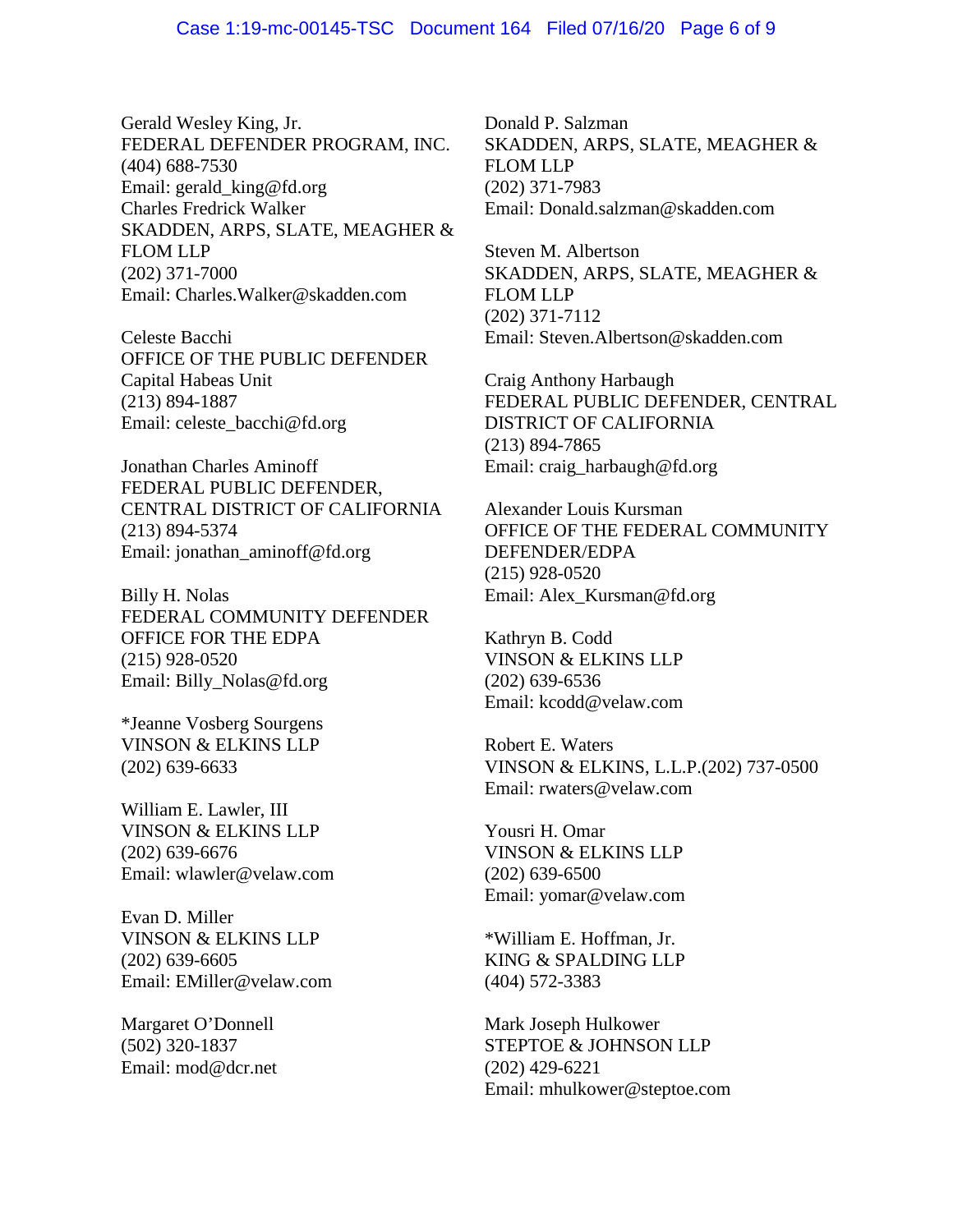Gerald Wesley King, Jr. FEDERAL DEFENDER PROGRAM, INC. (404) 688-7530 Email: [gerald\\_king@fd.org](mailto:gerald_king@fd.org) Charles Fredrick Walker SKADDEN, ARPS, SLATE, MEAGHER & FLOM LLP (202) 371-7000 Email: [Charles.Walker@skadden.com](mailto:Charles.Walker@skadden.com)

Celeste Bacchi OFFICE OF THE PUBLIC DEFENDER Capital Habeas Unit (213) 894-1887 Email: [celeste\\_bacchi@fd.org](mailto:celeste_bacchi@fd.org)

Jonathan Charles Aminoff FEDERAL PUBLIC DEFENDER, CENTRAL DISTRICT OF CALIFORNIA (213) 894-5374 Email: [jonathan\\_aminoff@fd.org](mailto:jonathan_aminoff@fd.org)

Billy H. Nolas FEDERAL COMMUNITY DEFENDER OFFICE FOR THE EDPA (215) 928-0520 Email: [Billy\\_Nolas@fd.org](mailto:Billy_Nolas@fd.org)

\*Jeanne Vosberg Sourgens VINSON & ELKINS LLP (202) 639-6633

William E. Lawler, III VINSON & ELKINS LLP (202) 639-6676 Email: [wlawler@velaw.com](mailto:wlawler@velaw.com)

Evan D. Miller VINSON & ELKINS LLP (202) 639-6605 Email: [EMiller@velaw.com](mailto:EMiller@velaw.com)

Margaret O'Donnell (502) 320-1837 Email: [mod@dcr.net](mailto:mod@dcr.net) Donald P. Salzman SKADDEN, ARPS, SLATE, MEAGHER & FLOM LLP (202) 371-7983 Email: [Donald.salzman@skadden.com](mailto:Donald.salzman@skadden.com)

Steven M. Albertson SKADDEN, ARPS, SLATE, MEAGHER & FLOM LLP (202) 371-7112 Email: [Steven.Albertson@skadden.com](mailto:Steven.Albertson@skadden.com)

Craig Anthony Harbaugh FEDERAL PUBLIC DEFENDER, CENTRAL DISTRICT OF CALIFORNIA (213) 894-7865 Email: [craig\\_harbaugh@fd.org](mailto:craig_harbaugh@fd.org)

Alexander Louis Kursman OFFICE OF THE FEDERAL COMMUNITY DEFENDER/EDPA (215) 928-0520 Email: [Alex\\_Kursman@fd.org](mailto:Alex_Kursman@fd.org)

Kathryn B. Codd VINSON & ELKINS LLP (202) 639-6536 Email: [kcodd@velaw.com](mailto:kcodd@velaw.com)

Robert E. Waters VINSON & ELKINS, L.L.P.(202) 737-0500 Email: [rwaters@velaw.com](mailto:rwaters@velaw.com)

Yousri H. Omar VINSON & ELKINS LLP (202) 639-6500 Email: [yomar@velaw.com](mailto:yomar@velaw.com)

\*William E. Hoffman, Jr. KING & SPALDING LLP (404) 572-3383

Mark Joseph Hulkower STEPTOE & JOHNSON LLP (202) 429-6221 Email: [mhulkower@steptoe.com](mailto:mhulkower@steptoe.com)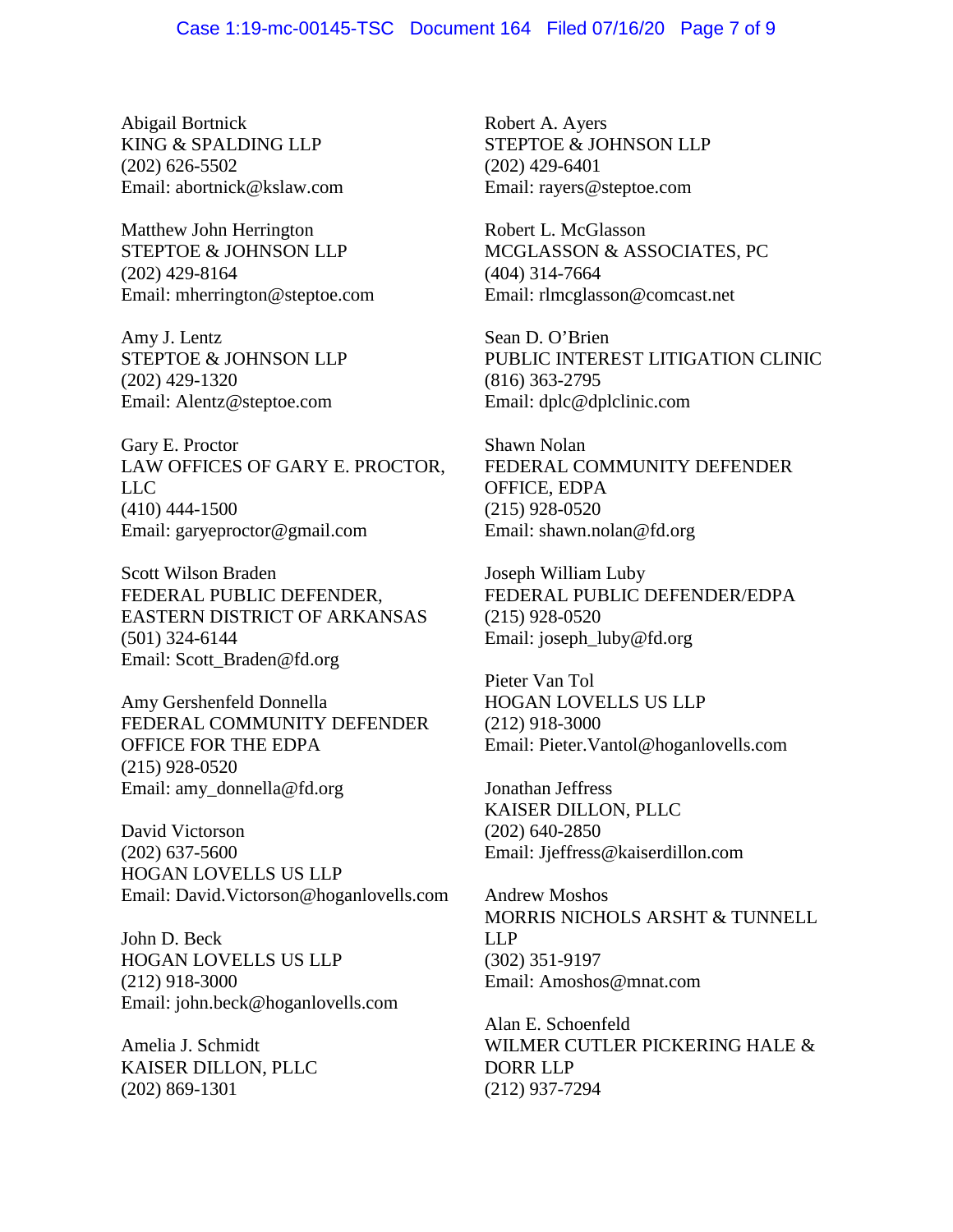Abigail Bortnick KING & SPALDING LLP (202) 626-5502 Email: [abortnick@kslaw.com](mailto:abortnick@kslaw.com)

Matthew John Herrington STEPTOE & JOHNSON LLP (202) 429-8164 Email: [mherrington@steptoe.com](mailto:mherrington@steptoe.com)

Amy J. Lentz STEPTOE & JOHNSON LLP (202) 429-1320 Email: [Alentz@steptoe.com](mailto:Alentz@steptoe.com)

Gary E. Proctor LAW OFFICES OF GARY E. PROCTOR, LLC (410) 444-1500 Email: [garyeproctor@gmail.com](mailto:garyeproctor@gmail.com)

Scott Wilson Braden FEDERAL PUBLIC DEFENDER, EASTERN DISTRICT OF ARKANSAS (501) 324-6144 Email: [Scott\\_Braden@fd.org](mailto:Scott_Braden@fd.org)

Amy Gershenfeld Donnella FEDERAL COMMUNITY DEFENDER OFFICE FOR THE EDPA (215) 928-0520 Email: [amy\\_donnella@fd.org](mailto:amy_donnella@fd.org)

David Victorson (202) 637-5600 HOGAN LOVELLS US LLP Email: [David.Victorson@hoganlovells.com](mailto:David.Victorson@hoganlovells.com)

John D. Beck HOGAN LOVELLS US LLP (212) 918-3000 Email: [john.beck@hoganlovells.com](mailto:john.beck@hoganlovells.com)

Amelia J. Schmidt KAISER DILLON, PLLC (202) 869-1301

Robert A. Ayers STEPTOE & JOHNSON LLP (202) 429-6401 Email: [rayers@steptoe.com](mailto:rayers@steptoe.com)

Robert L. McGlasson MCGLASSON & ASSOCIATES, PC (404) 314-7664 Email: [rlmcglasson@comcast.net](mailto:rlmcglasson@comcast.net)

Sean D. O'Brien PUBLIC INTEREST LITIGATION CLINIC (816) 363-2795 Email: [dplc@dplclinic.com](mailto:dplc@dplclinic.com)

Shawn Nolan FEDERAL COMMUNITY DEFENDER OFFICE, EDPA (215) 928-0520 Email: [shawn.nolan@fd.org](mailto:shawn.nolan@fd.org)

Joseph William Luby FEDERAL PUBLIC DEFENDER/EDPA (215) 928-0520 Email: [joseph\\_luby@fd.org](mailto:joseph_luby@fd.org)

Pieter Van Tol HOGAN LOVELLS US LLP (212) 918-3000 Email: [Pieter.Vantol@hoganlovells.com](mailto:Pieter.Vantol@hoganlovells.com)

Jonathan Jeffress KAISER DILLON, PLLC (202) 640-2850 Email: [Jjeffress@kaiserdillon.com](mailto:Jjeffress@kaiserdillon.com)

Andrew Moshos MORRIS NICHOLS ARSHT & TUNNELL LLP (302) 351-9197 Email: [Amoshos@mnat.com](mailto:Amoshos@mnat.com)

Alan E. Schoenfeld WILMER CUTLER PICKERING HALE & DORR LLP (212) 937-7294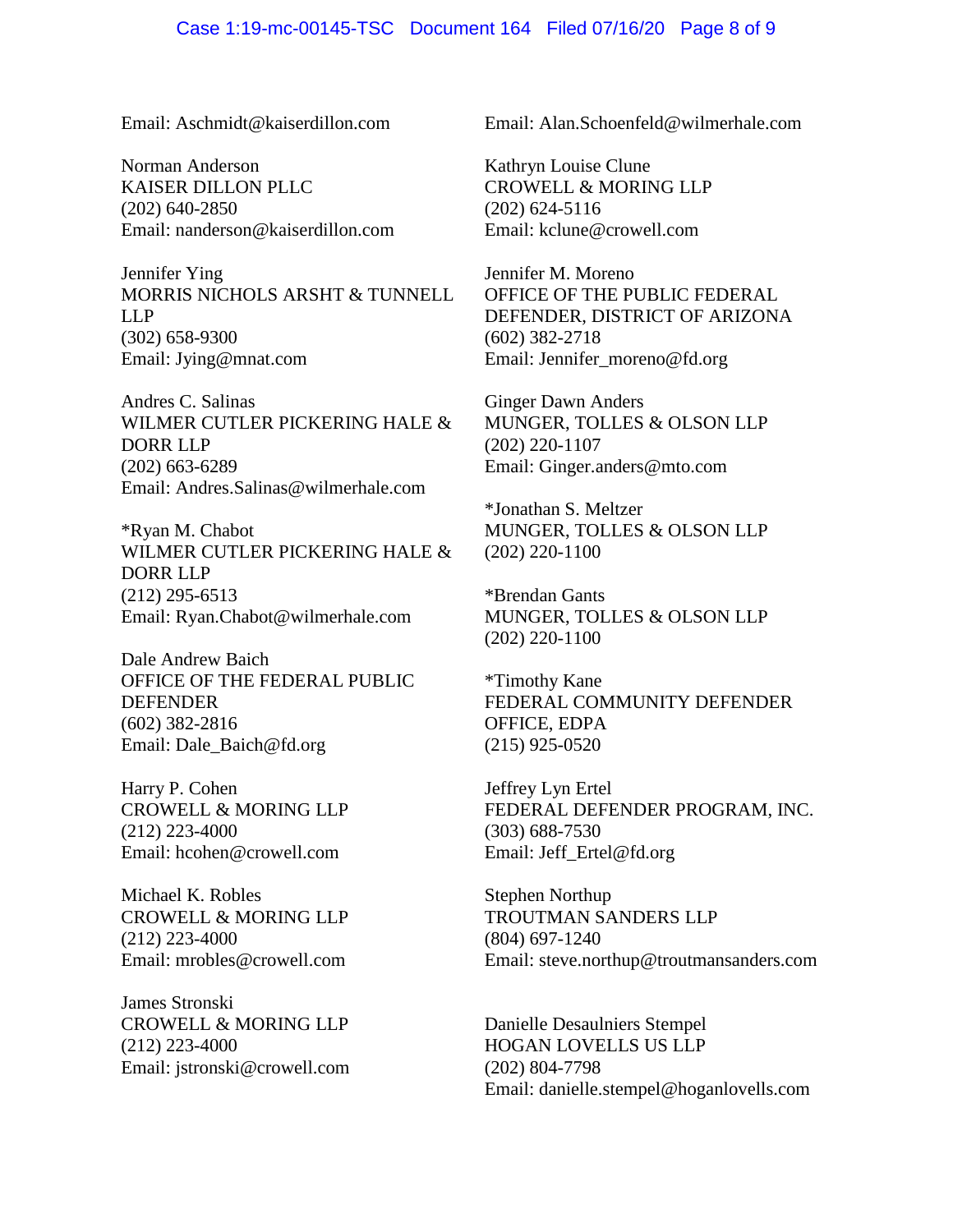### Case 1:19-mc-00145-TSC Document 164 Filed 07/16/20 Page 8 of 9

Email: [Aschmidt@kaiserdillon.com](mailto:Aschmidt@kaiserdillon.com)

Norman Anderson KAISER DILLON PLLC (202) 640-2850 Email: nanderson@kaiserdillon.com

Jennifer Ying MORRIS NICHOLS ARSHT & TUNNELL LLP (302) 658-9300 Email: [Jying@mnat.com](mailto:Jying@mnat.com)

Andres C. Salinas WILMER CUTLER PICKERING HALE & DORR LLP (202) 663-6289 Email: Andres.Salinas@wilmerhale.com

\*Ryan M. Chabot WILMER CUTLER PICKERING HALE & DORR LLP (212) 295-6513 Email: Ryan.Chabot@wilmerhale.com

Dale Andrew Baich OFFICE OF THE FEDERAL PUBLIC DEFENDER (602) 382-2816 Email: Dale\_Baich@fd.org

Harry P. Cohen CROWELL & MORING LLP (212) 223-4000 Email: hcohen@crowell.com

Michael K. Robles CROWELL & MORING LLP (212) 223-4000 Email: mrobles@crowell.com

James Stronski CROWELL & MORING LLP (212) 223-4000 Email: jstronski@crowell.com Email: [Alan.Schoenfeld@wilmerhale.com](mailto:Alan.Schoenfeld@wilmerhale.com)

Kathryn Louise Clune CROWELL & MORING LLP (202) 624-5116 Email: kclune@crowell.com

Jennifer M. Moreno OFFICE OF THE PUBLIC FEDERAL DEFENDER, DISTRICT OF ARIZONA (602) 382-2718 Email: Jennifer\_moreno@fd.org

Ginger Dawn Anders MUNGER, TOLLES & OLSON LLP (202) 220-1107 Email: Ginger.anders@mto.com

\*Jonathan S. Meltzer MUNGER, TOLLES & OLSON LLP (202) 220-1100

\*Brendan Gants MUNGER, TOLLES & OLSON LLP (202) 220-1100

\*Timothy Kane FEDERAL COMMUNITY DEFENDER OFFICE, EDPA (215) 925-0520

Jeffrey Lyn Ertel FEDERAL DEFENDER PROGRAM, INC. (303) 688-7530 Email: Jeff\_Ertel@fd.org

Stephen Northup TROUTMAN SANDERS LLP (804) 697-1240 Email: steve.northup@troutmansanders.com

Danielle Desaulniers Stempel HOGAN LOVELLS US LLP (202) 804-7798 Email: danielle.stempel@hoganlovells.com